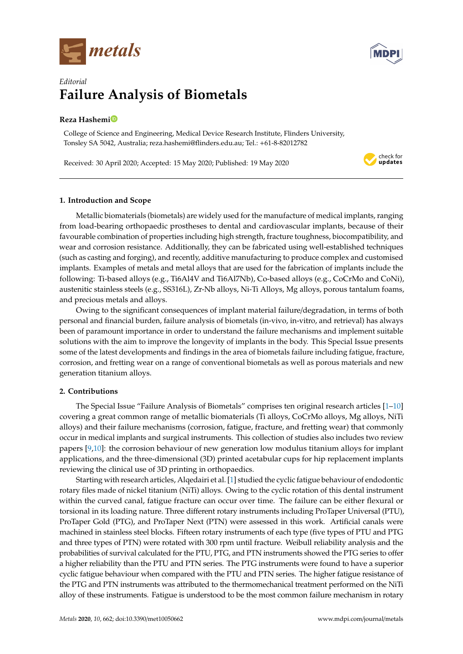



check for updates

# *Editorial* **Failure Analysis of Biometals**

# **Reza Hashem[i](https://orcid.org/0000-0002-5590-8409)**

College of Science and Engineering, Medical Device Research Institute, Flinders University, Tonsley SA 5042, Australia; reza.hashemi@flinders.edu.au; Tel.: +61-8-82012782

Received: 30 April 2020; Accepted: 15 May 2020; Published: 19 May 2020

# **1. Introduction and Scope**

Metallic biomaterials (biometals) are widely used for the manufacture of medical implants, ranging from load-bearing orthopaedic prostheses to dental and cardiovascular implants, because of their favourable combination of properties including high strength, fracture toughness, biocompatibility, and wear and corrosion resistance. Additionally, they can be fabricated using well-established techniques (such as casting and forging), and recently, additive manufacturing to produce complex and customised implants. Examples of metals and metal alloys that are used for the fabrication of implants include the following: Ti-based alloys (e.g., Ti6Al4V and Ti6Al7Nb), Co-based alloys (e.g., CoCrMo and CoNi), austenitic stainless steels (e.g., SS316L), Zr-Nb alloys, Ni-Ti Alloys, Mg alloys, porous tantalum foams, and precious metals and alloys.

Owing to the significant consequences of implant material failure/degradation, in terms of both personal and financial burden, failure analysis of biometals (in-vivo, in-vitro, and retrieval) has always been of paramount importance in order to understand the failure mechanisms and implement suitable solutions with the aim to improve the longevity of implants in the body. This Special Issue presents some of the latest developments and findings in the area of biometals failure including fatigue, fracture, corrosion, and fretting wear on a range of conventional biometals as well as porous materials and new generation titanium alloys.

## **2. Contributions**

The Special Issue "Failure Analysis of Biometals" comprises ten original research articles [\[1](#page-3-0)[–10\]](#page-3-1) covering a great common range of metallic biomaterials (Ti alloys, CoCrMo alloys, Mg alloys, NiTi alloys) and their failure mechanisms (corrosion, fatigue, fracture, and fretting wear) that commonly occur in medical implants and surgical instruments. This collection of studies also includes two review papers [\[9](#page-3-2)[,10\]](#page-3-1): the corrosion behaviour of new generation low modulus titanium alloys for implant applications, and the three-dimensional (3D) printed acetabular cups for hip replacement implants reviewing the clinical use of 3D printing in orthopaedics.

Starting with research articles, Alqedairi et al. [\[1\]](#page-3-0) studied the cyclic fatigue behaviour of endodontic rotary files made of nickel titanium (NiTi) alloys. Owing to the cyclic rotation of this dental instrument within the curved canal, fatigue fracture can occur over time. The failure can be either flexural or torsional in its loading nature. Three different rotary instruments including ProTaper Universal (PTU), ProTaper Gold (PTG), and ProTaper Next (PTN) were assessed in this work. Artificial canals were machined in stainless steel blocks. Fifteen rotary instruments of each type (five types of PTU and PTG and three types of PTN) were rotated with 300 rpm until fracture. Weibull reliability analysis and the probabilities of survival calculated for the PTU, PTG, and PTN instruments showed the PTG series to offer a higher reliability than the PTU and PTN series. The PTG instruments were found to have a superior cyclic fatigue behaviour when compared with the PTU and PTN series. The higher fatigue resistance of the PTG and PTN instruments was attributed to the thermomechanical treatment performed on the NiTi alloy of these instruments. Fatigue is understood to be the most common failure mechanism in rotary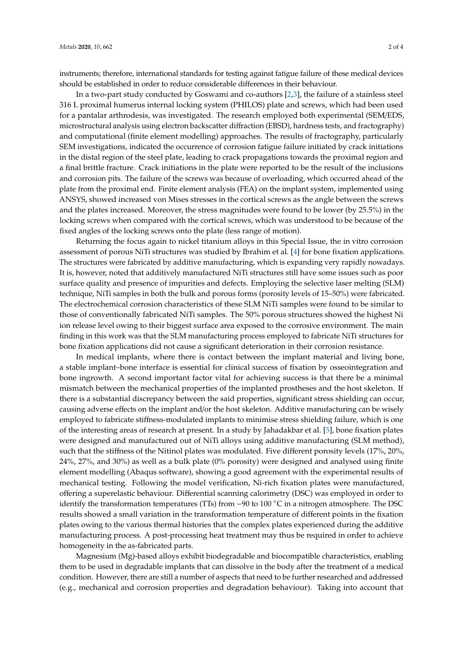instruments; therefore, international standards for testing against fatigue failure of these medical devices should be established in order to reduce considerable differences in their behaviour.

In a two-part study conducted by Goswami and co-authors [\[2,](#page-3-3)[3\]](#page-3-4), the failure of a stainless steel 316 L proximal humerus internal locking system (PHILOS) plate and screws, which had been used for a pantalar arthrodesis, was investigated. The research employed both experimental (SEM/EDS, microstructural analysis using electron backscatter diffraction (EBSD), hardness tests, and fractography) and computational (finite element modelling) approaches. The results of fractography, particularly SEM investigations, indicated the occurrence of corrosion fatigue failure initiated by crack initiations in the distal region of the steel plate, leading to crack propagations towards the proximal region and a final brittle fracture. Crack initiations in the plate were reported to be the result of the inclusions and corrosion pits. The failure of the screws was because of overloading, which occurred ahead of the plate from the proximal end. Finite element analysis (FEA) on the implant system, implemented using ANSYS, showed increased von Mises stresses in the cortical screws as the angle between the screws and the plates increased. Moreover, the stress magnitudes were found to be lower (by 25.5%) in the locking screws when compared with the cortical screws, which was understood to be because of the fixed angles of the locking screws onto the plate (less range of motion).

Returning the focus again to nickel titanium alloys in this Special Issue, the in vitro corrosion assessment of porous NiTi structures was studied by Ibrahim et al. [\[4\]](#page-3-5) for bone fixation applications. The structures were fabricated by additive manufacturing, which is expanding very rapidly nowadays. It is, however, noted that additively manufactured NiTi structures still have some issues such as poor surface quality and presence of impurities and defects. Employing the selective laser melting (SLM) technique, NiTi samples in both the bulk and porous forms (porosity levels of 15–50%) were fabricated. The electrochemical corrosion characteristics of these SLM NiTi samples were found to be similar to those of conventionally fabricated NiTi samples. The 50% porous structures showed the highest Ni ion release level owing to their biggest surface area exposed to the corrosive environment. The main finding in this work was that the SLM manufacturing process employed to fabricate NiTi structures for bone fixation applications did not cause a significant deterioration in their corrosion resistance.

In medical implants, where there is contact between the implant material and living bone, a stable implant–bone interface is essential for clinical success of fixation by osseointegration and bone ingrowth. A second important factor vital for achieving success is that there be a minimal mismatch between the mechanical properties of the implanted prostheses and the host skeleton. If there is a substantial discrepancy between the said properties, significant stress shielding can occur, causing adverse effects on the implant and/or the host skeleton. Additive manufacturing can be wisely employed to fabricate stiffness-modulated implants to minimise stress shielding failure, which is one of the interesting areas of research at present. In a study by Jahadakbar et al. [\[5\]](#page-3-6), bone fixation plates were designed and manufactured out of NiTi alloys using additive manufacturing (SLM method), such that the stiffness of the Nitinol plates was modulated. Five different porosity levels (17%, 20%, 24%, 27%, and 30%) as well as a bulk plate (0% porosity) were designed and analysed using finite element modelling (Abaqus software), showing a good agreement with the experimental results of mechanical testing. Following the model verification, Ni-rich fixation plates were manufactured, offering a superelastic behaviour. Differential scanning calorimetry (DSC) was employed in order to identify the transformation temperatures (TTs) from −90 to 100 ◦C in a nitrogen atmosphere. The DSC results showed a small variation in the transformation temperature of different points in the fixation plates owing to the various thermal histories that the complex plates experienced during the additive manufacturing process. A post-processing heat treatment may thus be required in order to achieve homogeneity in the as-fabricated parts.

Magnesium (Mg)-based alloys exhibit biodegradable and biocompatible characteristics, enabling them to be used in degradable implants that can dissolve in the body after the treatment of a medical condition. However, there are still a number of aspects that need to be further researched and addressed (e.g., mechanical and corrosion properties and degradation behaviour). Taking into account that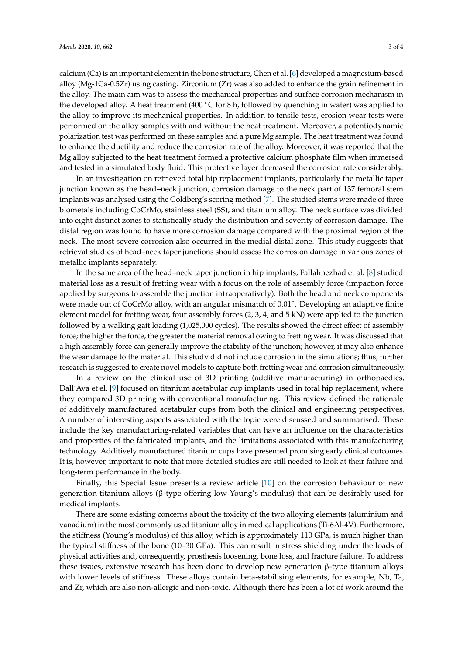calcium (Ca) is an important element in the bone structure, Chen et al. [\[6\]](#page-3-7) developed a magnesium-based alloy (Mg-1Ca-0.5Zr) using casting. Zirconium (Zr) was also added to enhance the grain refinement in the alloy. The main aim was to assess the mechanical properties and surface corrosion mechanism in the developed alloy. A heat treatment (400  $\degree$ C for 8 h, followed by quenching in water) was applied to the alloy to improve its mechanical properties. In addition to tensile tests, erosion wear tests were performed on the alloy samples with and without the heat treatment. Moreover, a potentiodynamic polarization test was performed on these samples and a pure Mg sample. The heat treatment was found to enhance the ductility and reduce the corrosion rate of the alloy. Moreover, it was reported that the Mg alloy subjected to the heat treatment formed a protective calcium phosphate film when immersed and tested in a simulated body fluid. This protective layer decreased the corrosion rate considerably.

In an investigation on retrieved total hip replacement implants, particularly the metallic taper junction known as the head–neck junction, corrosion damage to the neck part of 137 femoral stem implants was analysed using the Goldberg's scoring method [\[7\]](#page-3-8). The studied stems were made of three biometals including CoCrMo, stainless steel (SS), and titanium alloy. The neck surface was divided into eight distinct zones to statistically study the distribution and severity of corrosion damage. The distal region was found to have more corrosion damage compared with the proximal region of the neck. The most severe corrosion also occurred in the medial distal zone. This study suggests that retrieval studies of head–neck taper junctions should assess the corrosion damage in various zones of metallic implants separately.

In the same area of the head–neck taper junction in hip implants, Fallahnezhad et al. [\[8\]](#page-3-9) studied material loss as a result of fretting wear with a focus on the role of assembly force (impaction force applied by surgeons to assemble the junction intraoperatively). Both the head and neck components were made out of CoCrMo alloy, with an angular mismatch of 0.01°. Developing an adaptive finite element model for fretting wear, four assembly forces (2, 3, 4, and 5 kN) were applied to the junction followed by a walking gait loading (1,025,000 cycles). The results showed the direct effect of assembly force; the higher the force, the greater the material removal owing to fretting wear. It was discussed that a high assembly force can generally improve the stability of the junction; however, it may also enhance the wear damage to the material. This study did not include corrosion in the simulations; thus, further research is suggested to create novel models to capture both fretting wear and corrosion simultaneously.

In a review on the clinical use of 3D printing (additive manufacturing) in orthopaedics, Dall'Ava et el. [\[9\]](#page-3-2) focused on titanium acetabular cup implants used in total hip replacement, where they compared 3D printing with conventional manufacturing. This review defined the rationale of additively manufactured acetabular cups from both the clinical and engineering perspectives. A number of interesting aspects associated with the topic were discussed and summarised. These include the key manufacturing-related variables that can have an influence on the characteristics and properties of the fabricated implants, and the limitations associated with this manufacturing technology. Additively manufactured titanium cups have presented promising early clinical outcomes. It is, however, important to note that more detailed studies are still needed to look at their failure and long-term performance in the body.

Finally, this Special Issue presents a review article [\[10\]](#page-3-1) on the corrosion behaviour of new generation titanium alloys (β-type offering low Young's modulus) that can be desirably used for medical implants.

There are some existing concerns about the toxicity of the two alloying elements (aluminium and vanadium) in the most commonly used titanium alloy in medical applications (Ti-6Al-4V). Furthermore, the stiffness (Young's modulus) of this alloy, which is approximately 110 GPa, is much higher than the typical stiffness of the bone (10–30 GPa). This can result in stress shielding under the loads of physical activities and, consequently, prosthesis loosening, bone loss, and fracture failure. To address these issues, extensive research has been done to develop new generation β-type titanium alloys with lower levels of stiffness. These alloys contain beta-stabilising elements, for example, Nb, Ta, and Zr, which are also non-allergic and non-toxic. Although there has been a lot of work around the